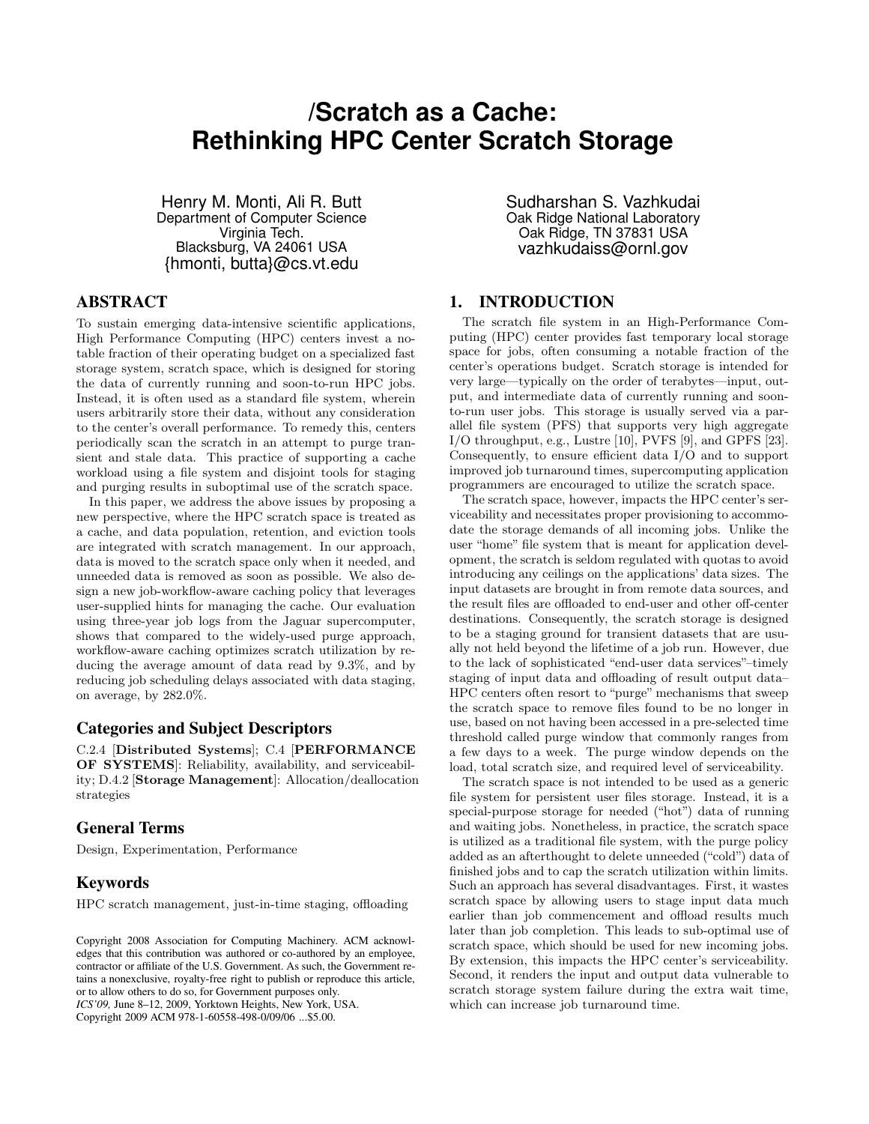# **/Scratch as a Cache: Rethinking HPC Center Scratch Storage**

Henry M. Monti, Ali R. Butt Department of Computer Science Virginia Tech. Blacksburg, VA 24061 USA {hmonti, butta}@cs.vt.edu

### **ABSTRACT**

To sustain emerging data-intensive scientific applications, High Performance Computing (HPC) centers invest a notable fraction of their operating budget on a specialized fast storage system, scratch space, which is designed for storing the data of currently running and soon-to-run HPC jobs. Instead, it is often used as a standard file system, wherein users arbitrarily store their data, without any consideration to the center's overall performance. To remedy this, centers periodically scan the scratch in an attempt to purge transient and stale data. This practice of supporting a cache workload using a file system and disjoint tools for staging and purging results in suboptimal use of the scratch space.

In this paper, we address the above issues by proposing a new perspective, where the HPC scratch space is treated as a cache, and data population, retention, and eviction tools are integrated with scratch management. In our approach, data is moved to the scratch space only when it needed, and unneeded data is removed as soon as possible. We also design a new job-workflow-aware caching policy that leverages user-supplied hints for managing the cache. Our evaluation using three-year job logs from the Jaguar supercomputer, shows that compared to the widely-used purge approach, workflow-aware caching optimizes scratch utilization by reducing the average amount of data read by 9.3%, and by reducing job scheduling delays associated with data staging, on average, by 282.0%.

### **Categories and Subject Descriptors**

C.2.4 [Distributed Systems]; C.4 [PERFORMANCE OF SYSTEMS]: Reliability, availability, and serviceability; D.4.2 [Storage Management]: Allocation/deallocation strategies

# **General Terms**

Design, Experimentation, Performance

# **Keywords**

HPC scratch management, just-in-time staging, offloading

Sudharshan S. Vazhkudai Oak Ridge National Laboratory Oak Ridge, TN 37831 USA vazhkudaiss@ornl.gov

# **1. INTRODUCTION**

The scratch file system in an High-Performance Computing (HPC) center provides fast temporary local storage space for jobs, often consuming a notable fraction of the center's operations budget. Scratch storage is intended for very large—typically on the order of terabytes—input, output, and intermediate data of currently running and soonto-run user jobs. This storage is usually served via a parallel file system (PFS) that supports very high aggregate I/O throughput, e.g., Lustre [10], PVFS [9], and GPFS [23]. Consequently, to ensure efficient data I/O and to support improved job turnaround times, supercomputing application programmers are encouraged to utilize the scratch space.

The scratch space, however, impacts the HPC center's serviceability and necessitates proper provisioning to accommodate the storage demands of all incoming jobs. Unlike the user "home" file system that is meant for application development, the scratch is seldom regulated with quotas to avoid introducing any ceilings on the applications' data sizes. The input datasets are brought in from remote data sources, and the result files are offloaded to end-user and other off-center destinations. Consequently, the scratch storage is designed to be a staging ground for transient datasets that are usually not held beyond the lifetime of a job run. However, due to the lack of sophisticated "end-user data services"–timely staging of input data and offloading of result output data– HPC centers often resort to "purge" mechanisms that sweep the scratch space to remove files found to be no longer in use, based on not having been accessed in a pre-selected time threshold called purge window that commonly ranges from a few days to a week. The purge window depends on the load, total scratch size, and required level of serviceability.

The scratch space is not intended to be used as a generic file system for persistent user files storage. Instead, it is a special-purpose storage for needed ("hot") data of running and waiting jobs. Nonetheless, in practice, the scratch space is utilized as a traditional file system, with the purge policy added as an afterthought to delete unneeded ("cold") data of finished jobs and to cap the scratch utilization within limits. Such an approach has several disadvantages. First, it wastes scratch space by allowing users to stage input data much earlier than job commencement and offload results much later than job completion. This leads to sub-optimal use of scratch space, which should be used for new incoming jobs. By extension, this impacts the HPC center's serviceability. Second, it renders the input and output data vulnerable to scratch storage system failure during the extra wait time, which can increase job turnaround time.

Copyright 2008 Association for Computing Machinery. ACM acknowledges that this contribution was authored or co-authored by an employee, contractor or affiliate of the U.S. Government. As such, the Government retains a nonexclusive, royalty-free right to publish or reproduce this article, or to allow others to do so, for Government purposes only. *ICS'09,* June 8–12, 2009, Yorktown Heights, New York, USA. Copyright 2009 ACM 978-1-60558-498-0/09/06 ...\$5.00.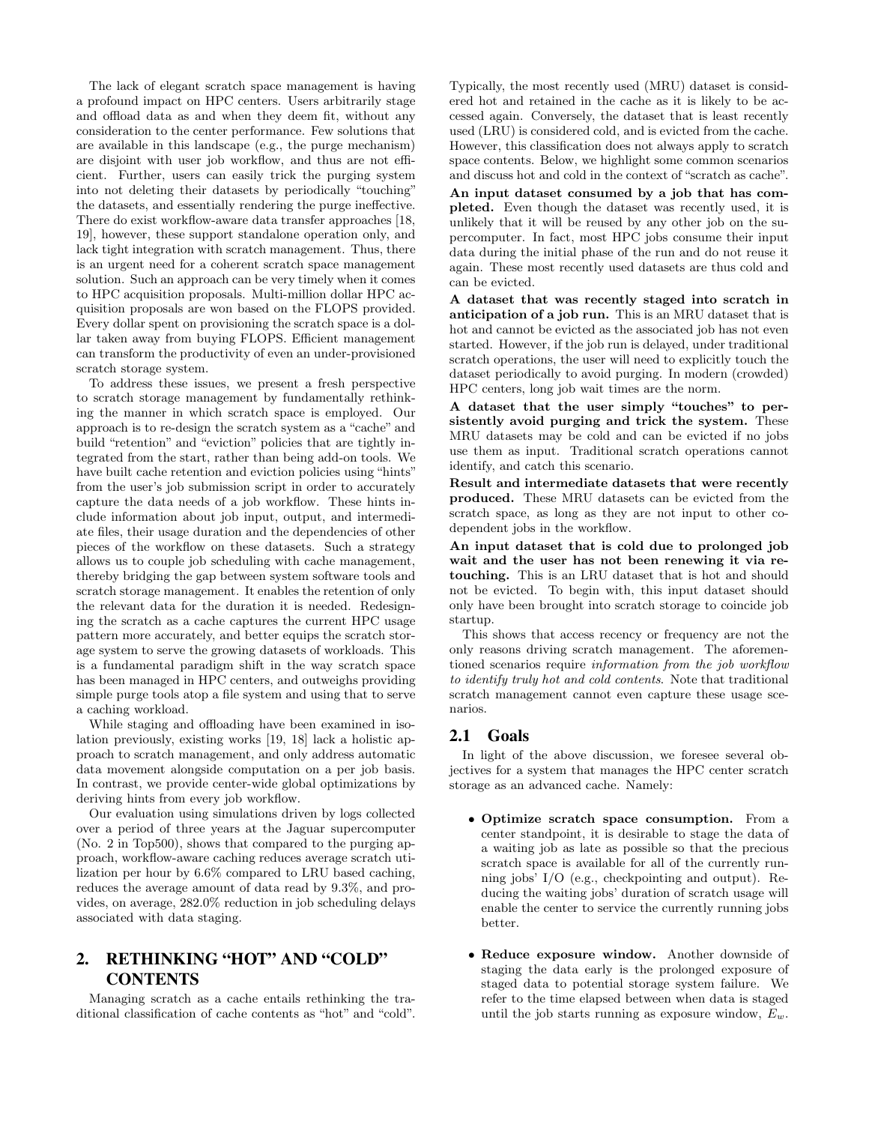The lack of elegant scratch space management is having a profound impact on HPC centers. Users arbitrarily stage and offload data as and when they deem fit, without any consideration to the center performance. Few solutions that are available in this landscape (e.g., the purge mechanism) are disjoint with user job workflow, and thus are not efficient. Further, users can easily trick the purging system into not deleting their datasets by periodically "touching" the datasets, and essentially rendering the purge ineffective. There do exist workflow-aware data transfer approaches [18, 19], however, these support standalone operation only, and lack tight integration with scratch management. Thus, there is an urgent need for a coherent scratch space management solution. Such an approach can be very timely when it comes to HPC acquisition proposals. Multi-million dollar HPC acquisition proposals are won based on the FLOPS provided. Every dollar spent on provisioning the scratch space is a dollar taken away from buying FLOPS. Efficient management can transform the productivity of even an under-provisioned scratch storage system.

To address these issues, we present a fresh perspective to scratch storage management by fundamentally rethinking the manner in which scratch space is employed. Our approach is to re-design the scratch system as a "cache" and build "retention" and "eviction" policies that are tightly integrated from the start, rather than being add-on tools. We have built cache retention and eviction policies using "hints" from the user's job submission script in order to accurately capture the data needs of a job workflow. These hints include information about job input, output, and intermediate files, their usage duration and the dependencies of other pieces of the workflow on these datasets. Such a strategy allows us to couple job scheduling with cache management, thereby bridging the gap between system software tools and scratch storage management. It enables the retention of only the relevant data for the duration it is needed. Redesigning the scratch as a cache captures the current HPC usage pattern more accurately, and better equips the scratch storage system to serve the growing datasets of workloads. This is a fundamental paradigm shift in the way scratch space has been managed in HPC centers, and outweighs providing simple purge tools atop a file system and using that to serve a caching workload.

While staging and offloading have been examined in isolation previously, existing works [19, 18] lack a holistic approach to scratch management, and only address automatic data movement alongside computation on a per job basis. In contrast, we provide center-wide global optimizations by deriving hints from every job workflow.

Our evaluation using simulations driven by logs collected over a period of three years at the Jaguar supercomputer (No. 2 in Top500), shows that compared to the purging approach, workflow-aware caching reduces average scratch utilization per hour by 6.6% compared to LRU based caching, reduces the average amount of data read by 9.3%, and provides, on average, 282.0% reduction in job scheduling delays associated with data staging.

# **2. RETHINKING "HOT" AND "COLD" CONTENTS**

Managing scratch as a cache entails rethinking the traditional classification of cache contents as "hot" and "cold".

Typically, the most recently used (MRU) dataset is considered hot and retained in the cache as it is likely to be accessed again. Conversely, the dataset that is least recently used (LRU) is considered cold, and is evicted from the cache. However, this classification does not always apply to scratch space contents. Below, we highlight some common scenarios and discuss hot and cold in the context of "scratch as cache".

An input dataset consumed by a job that has completed. Even though the dataset was recently used, it is unlikely that it will be reused by any other job on the supercomputer. In fact, most HPC jobs consume their input data during the initial phase of the run and do not reuse it again. These most recently used datasets are thus cold and can be evicted.

A dataset that was recently staged into scratch in anticipation of a job run. This is an MRU dataset that is hot and cannot be evicted as the associated job has not even started. However, if the job run is delayed, under traditional scratch operations, the user will need to explicitly touch the dataset periodically to avoid purging. In modern (crowded) HPC centers, long job wait times are the norm.

A dataset that the user simply "touches" to persistently avoid purging and trick the system. These MRU datasets may be cold and can be evicted if no jobs use them as input. Traditional scratch operations cannot identify, and catch this scenario.

Result and intermediate datasets that were recently produced. These MRU datasets can be evicted from the scratch space, as long as they are not input to other codependent jobs in the workflow.

An input dataset that is cold due to prolonged job wait and the user has not been renewing it via retouching. This is an LRU dataset that is hot and should not be evicted. To begin with, this input dataset should only have been brought into scratch storage to coincide job startup.

This shows that access recency or frequency are not the only reasons driving scratch management. The aforementioned scenarios require information from the job workflow to identify truly hot and cold contents. Note that traditional scratch management cannot even capture these usage scenarios.

# **2.1 Goals**

In light of the above discussion, we foresee several objectives for a system that manages the HPC center scratch storage as an advanced cache. Namely:

- Optimize scratch space consumption. From a center standpoint, it is desirable to stage the data of a waiting job as late as possible so that the precious scratch space is available for all of the currently running jobs' I/O (e.g., checkpointing and output). Reducing the waiting jobs' duration of scratch usage will enable the center to service the currently running jobs better.
- Reduce exposure window. Another downside of staging the data early is the prolonged exposure of staged data to potential storage system failure. We refer to the time elapsed between when data is staged until the job starts running as exposure window,  $E_w$ .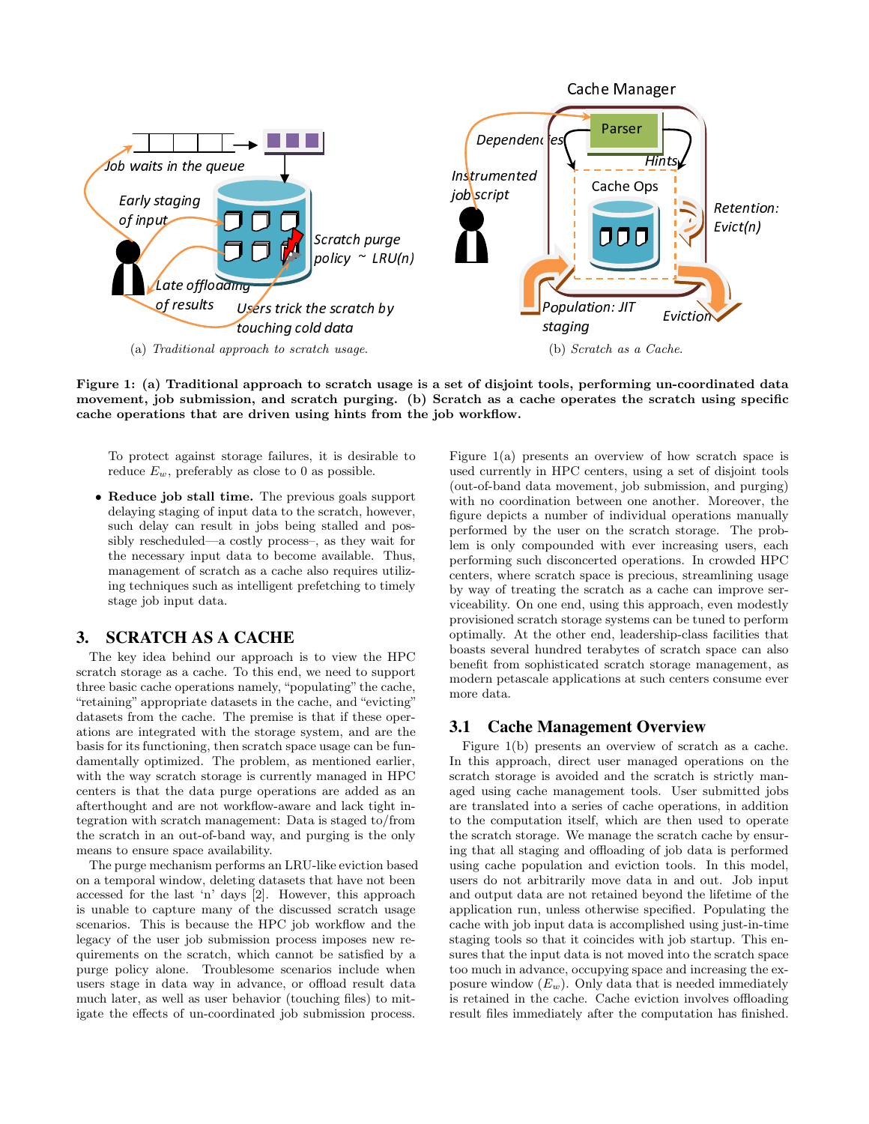

Figure 1: (a) Traditional approach to scratch usage is a set of disjoint tools, performing un-coordinated data movement, job submission, and scratch purging. (b) Scratch as a cache operates the scratch using specific cache operations that are driven using hints from the job workflow.

To protect against storage failures, it is desirable to reduce  $E_w$ , preferably as close to 0 as possible.

• Reduce job stall time. The previous goals support delaying staging of input data to the scratch, however, such delay can result in jobs being stalled and possibly rescheduled—a costly process–, as they wait for the necessary input data to become available. Thus, management of scratch as a cache also requires utilizing techniques such as intelligent prefetching to timely stage job input data.

# **3. SCRATCH AS A CACHE**

The key idea behind our approach is to view the HPC scratch storage as a cache. To this end, we need to support three basic cache operations namely, "populating" the cache, "retaining" appropriate datasets in the cache, and "evicting" datasets from the cache. The premise is that if these operations are integrated with the storage system, and are the basis for its functioning, then scratch space usage can be fundamentally optimized. The problem, as mentioned earlier, with the way scratch storage is currently managed in HPC centers is that the data purge operations are added as an afterthought and are not workflow-aware and lack tight integration with scratch management: Data is staged to/from the scratch in an out-of-band way, and purging is the only means to ensure space availability.

The purge mechanism performs an LRU-like eviction based on a temporal window, deleting datasets that have not been accessed for the last 'n' days [2]. However, this approach is unable to capture many of the discussed scratch usage scenarios. This is because the HPC job workflow and the legacy of the user job submission process imposes new requirements on the scratch, which cannot be satisfied by a purge policy alone. Troublesome scenarios include when users stage in data way in advance, or offload result data much later, as well as user behavior (touching files) to mitigate the effects of un-coordinated job submission process.

Figure 1(a) presents an overview of how scratch space is used currently in HPC centers, using a set of disjoint tools (out-of-band data movement, job submission, and purging) with no coordination between one another. Moreover, the figure depicts a number of individual operations manually performed by the user on the scratch storage. The problem is only compounded with ever increasing users, each performing such disconcerted operations. In crowded HPC centers, where scratch space is precious, streamlining usage by way of treating the scratch as a cache can improve serviceability. On one end, using this approach, even modestly provisioned scratch storage systems can be tuned to perform optimally. At the other end, leadership-class facilities that boasts several hundred terabytes of scratch space can also benefit from sophisticated scratch storage management, as modern petascale applications at such centers consume ever more data.

### **3.1 Cache Management Overview**

Figure 1(b) presents an overview of scratch as a cache. In this approach, direct user managed operations on the scratch storage is avoided and the scratch is strictly managed using cache management tools. User submitted jobs are translated into a series of cache operations, in addition to the computation itself, which are then used to operate the scratch storage. We manage the scratch cache by ensuring that all staging and offloading of job data is performed using cache population and eviction tools. In this model, users do not arbitrarily move data in and out. Job input and output data are not retained beyond the lifetime of the application run, unless otherwise specified. Populating the cache with job input data is accomplished using just-in-time staging tools so that it coincides with job startup. This ensures that the input data is not moved into the scratch space too much in advance, occupying space and increasing the exposure window  $(E_w)$ . Only data that is needed immediately is retained in the cache. Cache eviction involves offloading result files immediately after the computation has finished.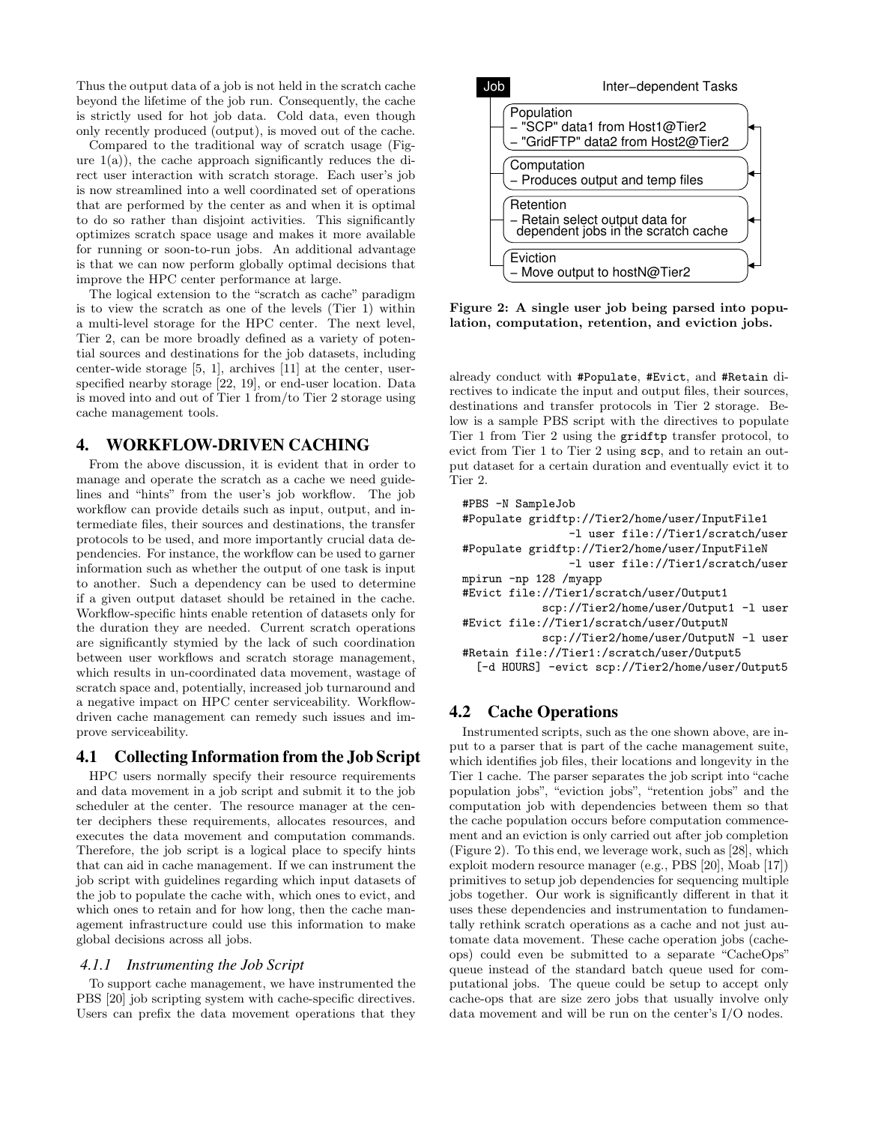Thus the output data of a job is not held in the scratch cache beyond the lifetime of the job run. Consequently, the cache is strictly used for hot job data. Cold data, even though only recently produced (output), is moved out of the cache.

Compared to the traditional way of scratch usage (Figure  $1(a)$ , the cache approach significantly reduces the direct user interaction with scratch storage. Each user's job is now streamlined into a well coordinated set of operations that are performed by the center as and when it is optimal to do so rather than disjoint activities. This significantly optimizes scratch space usage and makes it more available for running or soon-to-run jobs. An additional advantage is that we can now perform globally optimal decisions that improve the HPC center performance at large.

The logical extension to the "scratch as cache" paradigm is to view the scratch as one of the levels (Tier 1) within a multi-level storage for the HPC center. The next level, Tier 2, can be more broadly defined as a variety of potential sources and destinations for the job datasets, including center-wide storage [5, 1], archives [11] at the center, userspecified nearby storage [22, 19], or end-user location. Data is moved into and out of Tier 1 from/to Tier 2 storage using cache management tools.

# **4. WORKFLOW-DRIVEN CACHING**

From the above discussion, it is evident that in order to manage and operate the scratch as a cache we need guidelines and "hints" from the user's job workflow. The job workflow can provide details such as input, output, and intermediate files, their sources and destinations, the transfer protocols to be used, and more importantly crucial data dependencies. For instance, the workflow can be used to garner information such as whether the output of one task is input to another. Such a dependency can be used to determine if a given output dataset should be retained in the cache. Workflow-specific hints enable retention of datasets only for the duration they are needed. Current scratch operations are significantly stymied by the lack of such coordination between user workflows and scratch storage management, which results in un-coordinated data movement, wastage of scratch space and, potentially, increased job turnaround and a negative impact on HPC center serviceability. Workflowdriven cache management can remedy such issues and improve serviceability.

# **4.1 Collecting Information from the Job Script**

HPC users normally specify their resource requirements and data movement in a job script and submit it to the job scheduler at the center. The resource manager at the center deciphers these requirements, allocates resources, and executes the data movement and computation commands. Therefore, the job script is a logical place to specify hints that can aid in cache management. If we can instrument the job script with guidelines regarding which input datasets of the job to populate the cache with, which ones to evict, and which ones to retain and for how long, then the cache management infrastructure could use this information to make global decisions across all jobs.

### *4.1.1 Instrumenting the Job Script*

To support cache management, we have instrumented the PBS [20] job scripting system with cache-specific directives. Users can prefix the data movement operations that they



Figure 2: A single user job being parsed into population, computation, retention, and eviction jobs.

already conduct with #Populate, #Evict, and #Retain directives to indicate the input and output files, their sources, destinations and transfer protocols in Tier 2 storage. Below is a sample PBS script with the directives to populate Tier 1 from Tier 2 using the gridftp transfer protocol, to evict from Tier 1 to Tier 2 using scp, and to retain an output dataset for a certain duration and eventually evict it to Tier 2.

```
#PBS -N SampleJob
#Populate gridftp://Tier2/home/user/InputFile1
                -l user file://Tier1/scratch/user
#Populate gridftp://Tier2/home/user/InputFileN
                -l user file://Tier1/scratch/user
mpirun -np 128 /myapp
#Evict file://Tier1/scratch/user/Output1
            scp://Tier2/home/user/Output1 -l user
#Evict file://Tier1/scratch/user/OutputN
            scp://Tier2/home/user/OutputN -1 user
#Retain file://Tier1:/scratch/user/Output5
  [-d HOURS] -evict scp://Tier2/home/user/Output5
```
# **4.2 Cache Operations**

Instrumented scripts, such as the one shown above, are input to a parser that is part of the cache management suite, which identifies job files, their locations and longevity in the Tier 1 cache. The parser separates the job script into "cache population jobs", "eviction jobs", "retention jobs" and the computation job with dependencies between them so that the cache population occurs before computation commencement and an eviction is only carried out after job completion (Figure 2). To this end, we leverage work, such as [28], which exploit modern resource manager (e.g., PBS [20], Moab [17]) primitives to setup job dependencies for sequencing multiple jobs together. Our work is significantly different in that it uses these dependencies and instrumentation to fundamentally rethink scratch operations as a cache and not just automate data movement. These cache operation jobs (cacheops) could even be submitted to a separate "CacheOps" queue instead of the standard batch queue used for computational jobs. The queue could be setup to accept only cache-ops that are size zero jobs that usually involve only data movement and will be run on the center's I/O nodes.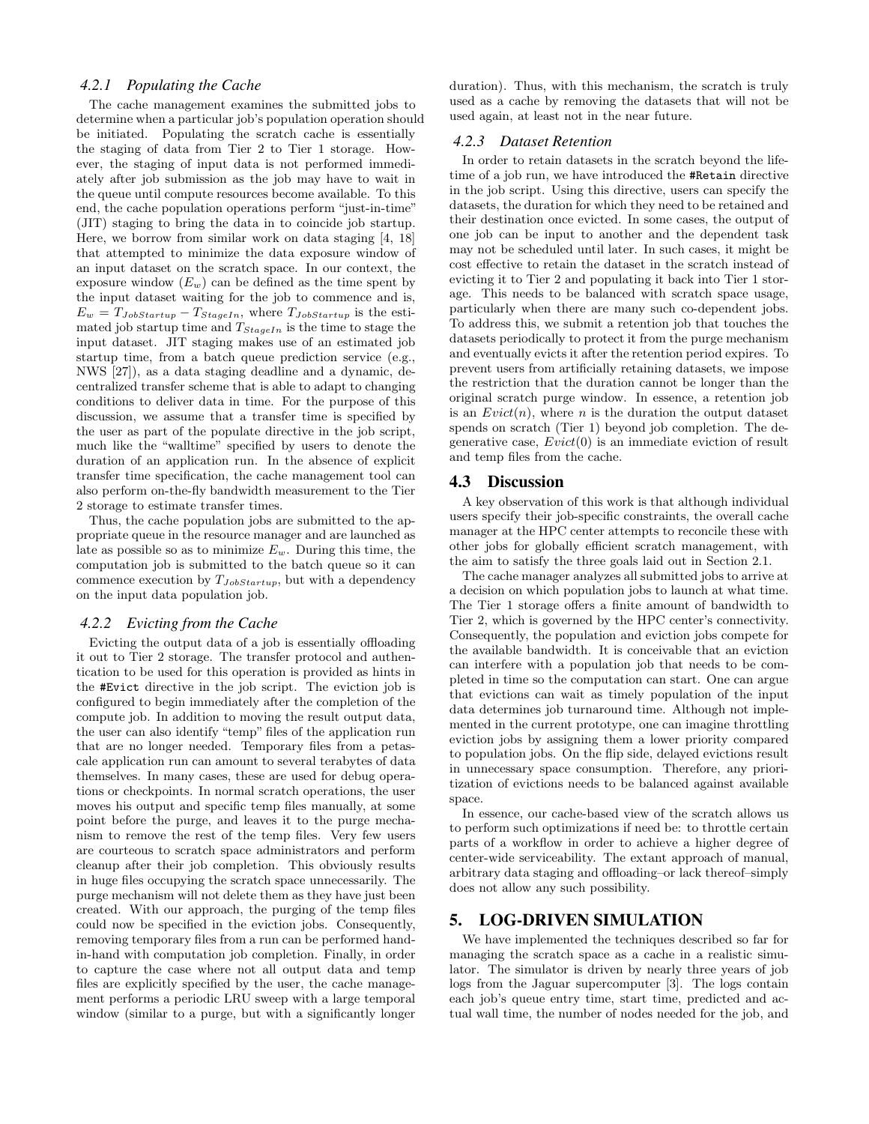#### *4.2.1 Populating the Cache*

The cache management examines the submitted jobs to determine when a particular job's population operation should be initiated. Populating the scratch cache is essentially the staging of data from Tier 2 to Tier 1 storage. However, the staging of input data is not performed immediately after job submission as the job may have to wait in the queue until compute resources become available. To this end, the cache population operations perform "just-in-time" (JIT) staging to bring the data in to coincide job startup. Here, we borrow from similar work on data staging [4, 18] that attempted to minimize the data exposure window of an input dataset on the scratch space. In our context, the exposure window  $(E_w)$  can be defined as the time spent by the input dataset waiting for the job to commence and is,  $E_w = T_{JobStartup} - T_{StageIn}$ , where  $T_{JobStartup}$  is the estimated job startup time and  $T_{StageIn}$  is the time to stage the input dataset. JIT staging makes use of an estimated job startup time, from a batch queue prediction service (e.g., NWS [27]), as a data staging deadline and a dynamic, decentralized transfer scheme that is able to adapt to changing conditions to deliver data in time. For the purpose of this discussion, we assume that a transfer time is specified by the user as part of the populate directive in the job script, much like the "walltime" specified by users to denote the duration of an application run. In the absence of explicit transfer time specification, the cache management tool can also perform on-the-fly bandwidth measurement to the Tier 2 storage to estimate transfer times.

Thus, the cache population jobs are submitted to the appropriate queue in the resource manager and are launched as late as possible so as to minimize  $E_w$ . During this time, the computation job is submitted to the batch queue so it can commence execution by  $T_{JobStartup}$ , but with a dependency on the input data population job.

#### *4.2.2 Evicting from the Cache*

Evicting the output data of a job is essentially offloading it out to Tier 2 storage. The transfer protocol and authentication to be used for this operation is provided as hints in the #Evict directive in the job script. The eviction job is configured to begin immediately after the completion of the compute job. In addition to moving the result output data, the user can also identify "temp" files of the application run that are no longer needed. Temporary files from a petascale application run can amount to several terabytes of data themselves. In many cases, these are used for debug operations or checkpoints. In normal scratch operations, the user moves his output and specific temp files manually, at some point before the purge, and leaves it to the purge mechanism to remove the rest of the temp files. Very few users are courteous to scratch space administrators and perform cleanup after their job completion. This obviously results in huge files occupying the scratch space unnecessarily. The purge mechanism will not delete them as they have just been created. With our approach, the purging of the temp files could now be specified in the eviction jobs. Consequently, removing temporary files from a run can be performed handin-hand with computation job completion. Finally, in order to capture the case where not all output data and temp files are explicitly specified by the user, the cache management performs a periodic LRU sweep with a large temporal window (similar to a purge, but with a significantly longer

duration). Thus, with this mechanism, the scratch is truly used as a cache by removing the datasets that will not be used again, at least not in the near future.

#### *4.2.3 Dataset Retention*

In order to retain datasets in the scratch beyond the lifetime of a job run, we have introduced the #Retain directive in the job script. Using this directive, users can specify the datasets, the duration for which they need to be retained and their destination once evicted. In some cases, the output of one job can be input to another and the dependent task may not be scheduled until later. In such cases, it might be cost effective to retain the dataset in the scratch instead of evicting it to Tier 2 and populating it back into Tier 1 storage. This needs to be balanced with scratch space usage, particularly when there are many such co-dependent jobs. To address this, we submit a retention job that touches the datasets periodically to protect it from the purge mechanism and eventually evicts it after the retention period expires. To prevent users from artificially retaining datasets, we impose the restriction that the duration cannot be longer than the original scratch purge window. In essence, a retention job is an  $Evict(n)$ , where n is the duration the output dataset spends on scratch (Tier 1) beyond job completion. The degenerative case,  $Evict(0)$  is an immediate eviction of result and temp files from the cache.

#### **4.3 Discussion**

A key observation of this work is that although individual users specify their job-specific constraints, the overall cache manager at the HPC center attempts to reconcile these with other jobs for globally efficient scratch management, with the aim to satisfy the three goals laid out in Section 2.1.

The cache manager analyzes all submitted jobs to arrive at a decision on which population jobs to launch at what time. The Tier 1 storage offers a finite amount of bandwidth to Tier 2, which is governed by the HPC center's connectivity. Consequently, the population and eviction jobs compete for the available bandwidth. It is conceivable that an eviction can interfere with a population job that needs to be completed in time so the computation can start. One can argue that evictions can wait as timely population of the input data determines job turnaround time. Although not implemented in the current prototype, one can imagine throttling eviction jobs by assigning them a lower priority compared to population jobs. On the flip side, delayed evictions result in unnecessary space consumption. Therefore, any prioritization of evictions needs to be balanced against available space.

In essence, our cache-based view of the scratch allows us to perform such optimizations if need be: to throttle certain parts of a workflow in order to achieve a higher degree of center-wide serviceability. The extant approach of manual, arbitrary data staging and offloading–or lack thereof–simply does not allow any such possibility.

### **5. LOG-DRIVEN SIMULATION**

We have implemented the techniques described so far for managing the scratch space as a cache in a realistic simulator. The simulator is driven by nearly three years of job logs from the Jaguar supercomputer [3]. The logs contain each job's queue entry time, start time, predicted and actual wall time, the number of nodes needed for the job, and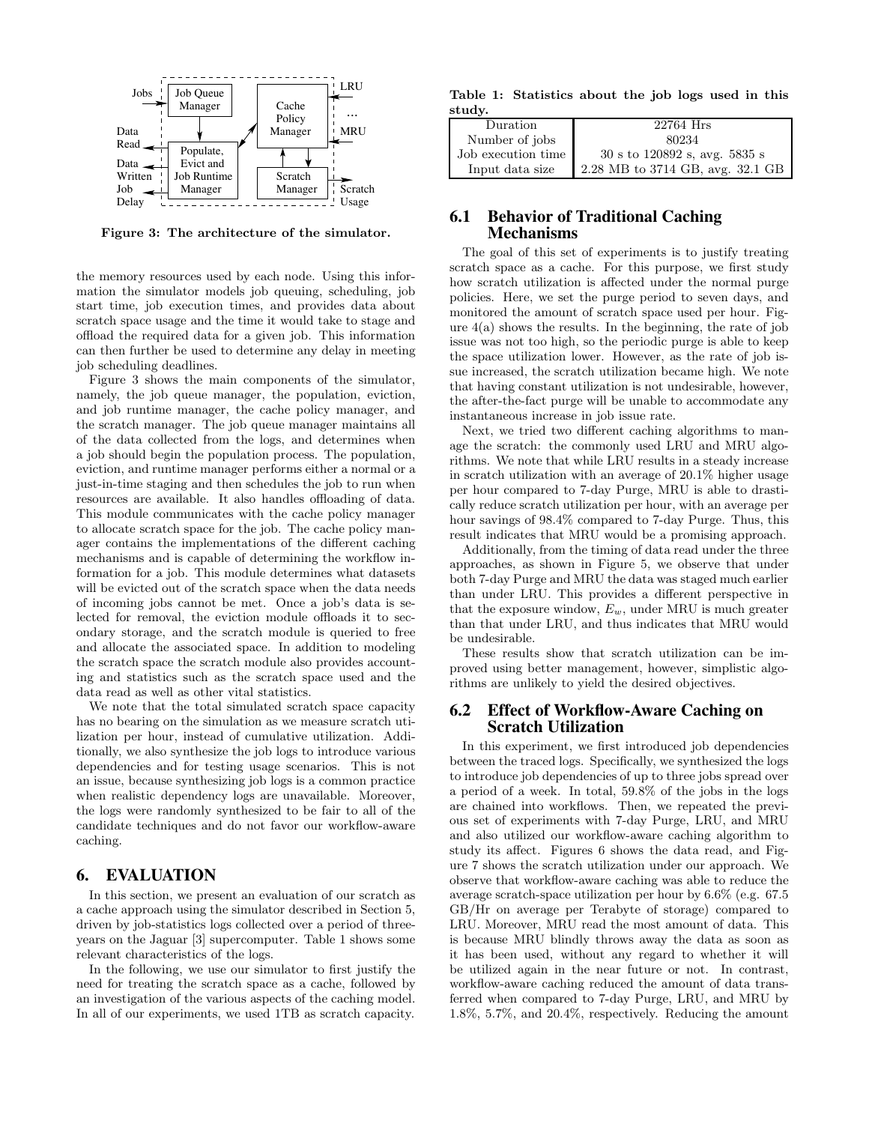

Figure 3: The architecture of the simulator.

the memory resources used by each node. Using this information the simulator models job queuing, scheduling, job start time, job execution times, and provides data about scratch space usage and the time it would take to stage and offload the required data for a given job. This information can then further be used to determine any delay in meeting job scheduling deadlines.

Figure 3 shows the main components of the simulator, namely, the job queue manager, the population, eviction, and job runtime manager, the cache policy manager, and the scratch manager. The job queue manager maintains all of the data collected from the logs, and determines when a job should begin the population process. The population, eviction, and runtime manager performs either a normal or a just-in-time staging and then schedules the job to run when resources are available. It also handles offloading of data. This module communicates with the cache policy manager to allocate scratch space for the job. The cache policy manager contains the implementations of the different caching mechanisms and is capable of determining the workflow information for a job. This module determines what datasets will be evicted out of the scratch space when the data needs of incoming jobs cannot be met. Once a job's data is selected for removal, the eviction module offloads it to secondary storage, and the scratch module is queried to free and allocate the associated space. In addition to modeling the scratch space the scratch module also provides accounting and statistics such as the scratch space used and the data read as well as other vital statistics.

We note that the total simulated scratch space capacity has no bearing on the simulation as we measure scratch utilization per hour, instead of cumulative utilization. Additionally, we also synthesize the job logs to introduce various dependencies and for testing usage scenarios. This is not an issue, because synthesizing job logs is a common practice when realistic dependency logs are unavailable. Moreover, the logs were randomly synthesized to be fair to all of the candidate techniques and do not favor our workflow-aware caching.

# **6. EVALUATION**

In this section, we present an evaluation of our scratch as a cache approach using the simulator described in Section 5, driven by job-statistics logs collected over a period of threeyears on the Jaguar [3] supercomputer. Table 1 shows some relevant characteristics of the logs.

In the following, we use our simulator to first justify the need for treating the scratch space as a cache, followed by an investigation of the various aspects of the caching model. In all of our experiments, we used 1TB as scratch capacity.

Table 1: Statistics about the job logs used in this study.

| Duration           | 22764 Hrs                        |
|--------------------|----------------------------------|
| Number of jobs     | 80234                            |
| Job execution time | 30 s to $120892$ s, avg. 5835 s  |
| Input data size    | 2.28 MB to 3714 GB, avg. 32.1 GB |

# **6.1 Behavior of Traditional Caching Mechanisms**

The goal of this set of experiments is to justify treating scratch space as a cache. For this purpose, we first study how scratch utilization is affected under the normal purge policies. Here, we set the purge period to seven days, and monitored the amount of scratch space used per hour. Figure 4(a) shows the results. In the beginning, the rate of job issue was not too high, so the periodic purge is able to keep the space utilization lower. However, as the rate of job issue increased, the scratch utilization became high. We note that having constant utilization is not undesirable, however, the after-the-fact purge will be unable to accommodate any instantaneous increase in job issue rate.

Next, we tried two different caching algorithms to manage the scratch: the commonly used LRU and MRU algorithms. We note that while LRU results in a steady increase in scratch utilization with an average of 20.1% higher usage per hour compared to 7-day Purge, MRU is able to drastically reduce scratch utilization per hour, with an average per hour savings of 98.4% compared to 7-day Purge. Thus, this result indicates that MRU would be a promising approach.

Additionally, from the timing of data read under the three approaches, as shown in Figure 5, we observe that under both 7-day Purge and MRU the data was staged much earlier than under LRU. This provides a different perspective in that the exposure window,  $E_w$ , under MRU is much greater than that under LRU, and thus indicates that MRU would be undesirable.

These results show that scratch utilization can be improved using better management, however, simplistic algorithms are unlikely to yield the desired objectives.

# **6.2 Effect of Workflow-Aware Caching on Scratch Utilization**

In this experiment, we first introduced job dependencies between the traced logs. Specifically, we synthesized the logs to introduce job dependencies of up to three jobs spread over a period of a week. In total, 59.8% of the jobs in the logs are chained into workflows. Then, we repeated the previous set of experiments with 7-day Purge, LRU, and MRU and also utilized our workflow-aware caching algorithm to study its affect. Figures 6 shows the data read, and Figure 7 shows the scratch utilization under our approach. We observe that workflow-aware caching was able to reduce the average scratch-space utilization per hour by 6.6% (e.g. 67.5 GB/Hr on average per Terabyte of storage) compared to LRU. Moreover, MRU read the most amount of data. This is because MRU blindly throws away the data as soon as it has been used, without any regard to whether it will be utilized again in the near future or not. In contrast, workflow-aware caching reduced the amount of data transferred when compared to 7-day Purge, LRU, and MRU by 1.8%, 5.7%, and 20.4%, respectively. Reducing the amount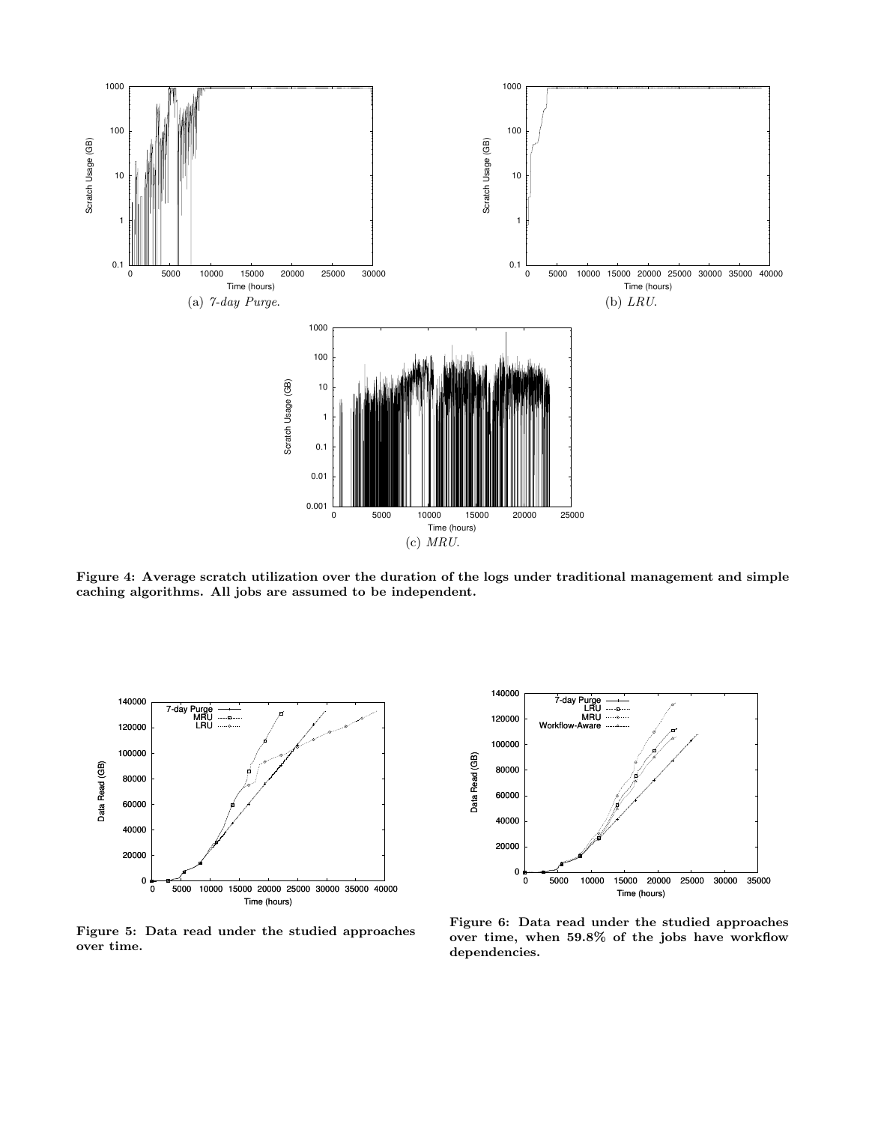

Figure 4: Average scratch utilization over the duration of the logs under traditional management and simple caching algorithms. All jobs are assumed to be independent.



Figure 5: Data read under the studied approaches over time.



Figure 6: Data read under the studied approaches over time, when 59.8% of the jobs have workflow dependencies.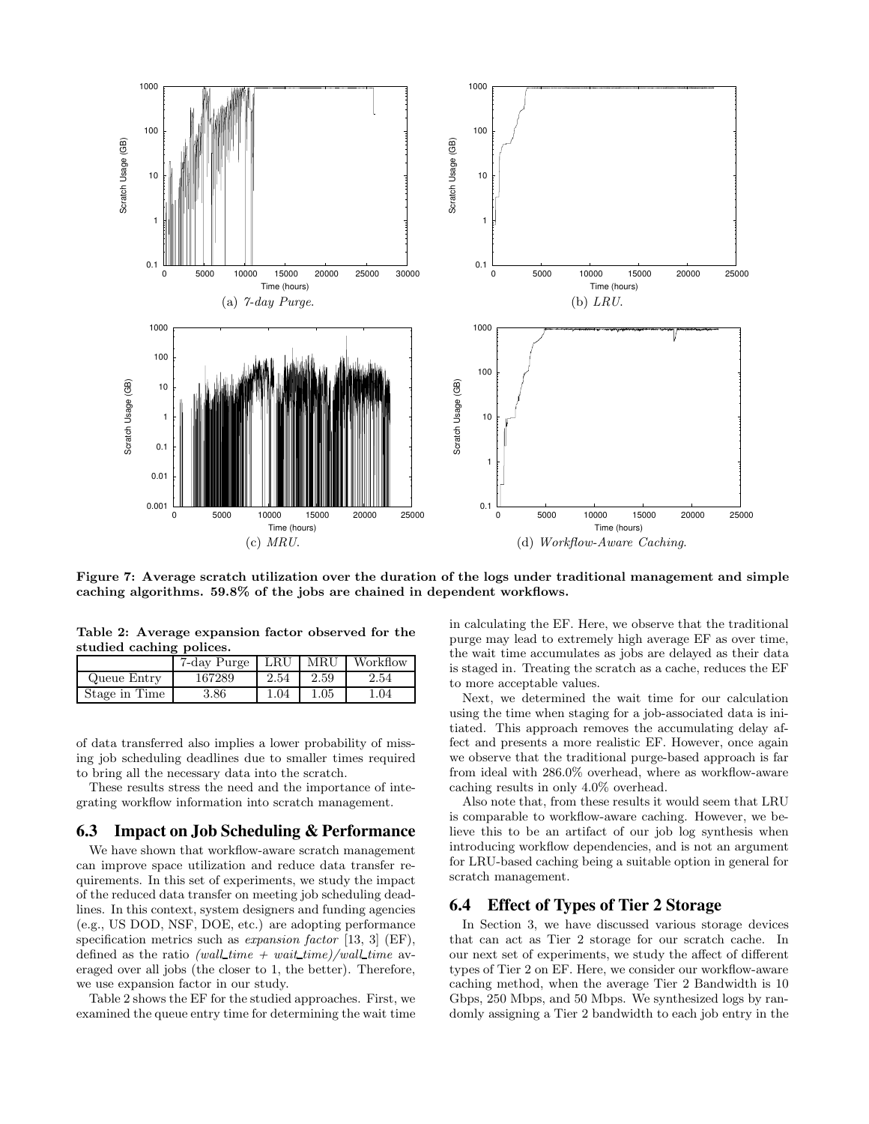

Figure 7: Average scratch utilization over the duration of the logs under traditional management and simple caching algorithms. 59.8% of the jobs are chained in dependent workflows.

| studied calified polices. |                                    |      |      |          |  |
|---------------------------|------------------------------------|------|------|----------|--|
|                           | 7-day Purge   LRU   MRU   Workflow |      |      |          |  |
| Queue Entry               | 167289                             | 2.54 | 2.59 | 2.54     |  |
| Stage in Time             | $3.86\,$                           | 1.04 | 1.05 | $1.04\,$ |  |

Table 2: Average expansion factor observed for the studied caching polices.

of data transferred also implies a lower probability of missing job scheduling deadlines due to smaller times required to bring all the necessary data into the scratch.

These results stress the need and the importance of integrating workflow information into scratch management.

# **6.3 Impact on Job Scheduling & Performance**

We have shown that workflow-aware scratch management can improve space utilization and reduce data transfer requirements. In this set of experiments, we study the impact of the reduced data transfer on meeting job scheduling deadlines. In this context, system designers and funding agencies (e.g., US DOD, NSF, DOE, etc.) are adopting performance specification metrics such as *expansion factor* [13, 3] (EF), defined as the ratio (wall time + wait time)/wall time averaged over all jobs (the closer to 1, the better). Therefore, we use expansion factor in our study.

Table 2 shows the EF for the studied approaches. First, we examined the queue entry time for determining the wait time in calculating the EF. Here, we observe that the traditional purge may lead to extremely high average EF as over time, the wait time accumulates as jobs are delayed as their data is staged in. Treating the scratch as a cache, reduces the EF to more acceptable values.

Next, we determined the wait time for our calculation using the time when staging for a job-associated data is initiated. This approach removes the accumulating delay affect and presents a more realistic EF. However, once again we observe that the traditional purge-based approach is far from ideal with 286.0% overhead, where as workflow-aware caching results in only 4.0% overhead.

Also note that, from these results it would seem that LRU is comparable to workflow-aware caching. However, we believe this to be an artifact of our job log synthesis when introducing workflow dependencies, and is not an argument for LRU-based caching being a suitable option in general for scratch management.

# **6.4 Effect of Types of Tier 2 Storage**

In Section 3, we have discussed various storage devices that can act as Tier 2 storage for our scratch cache. In our next set of experiments, we study the affect of different types of Tier 2 on EF. Here, we consider our workflow-aware caching method, when the average Tier 2 Bandwidth is 10 Gbps, 250 Mbps, and 50 Mbps. We synthesized logs by randomly assigning a Tier 2 bandwidth to each job entry in the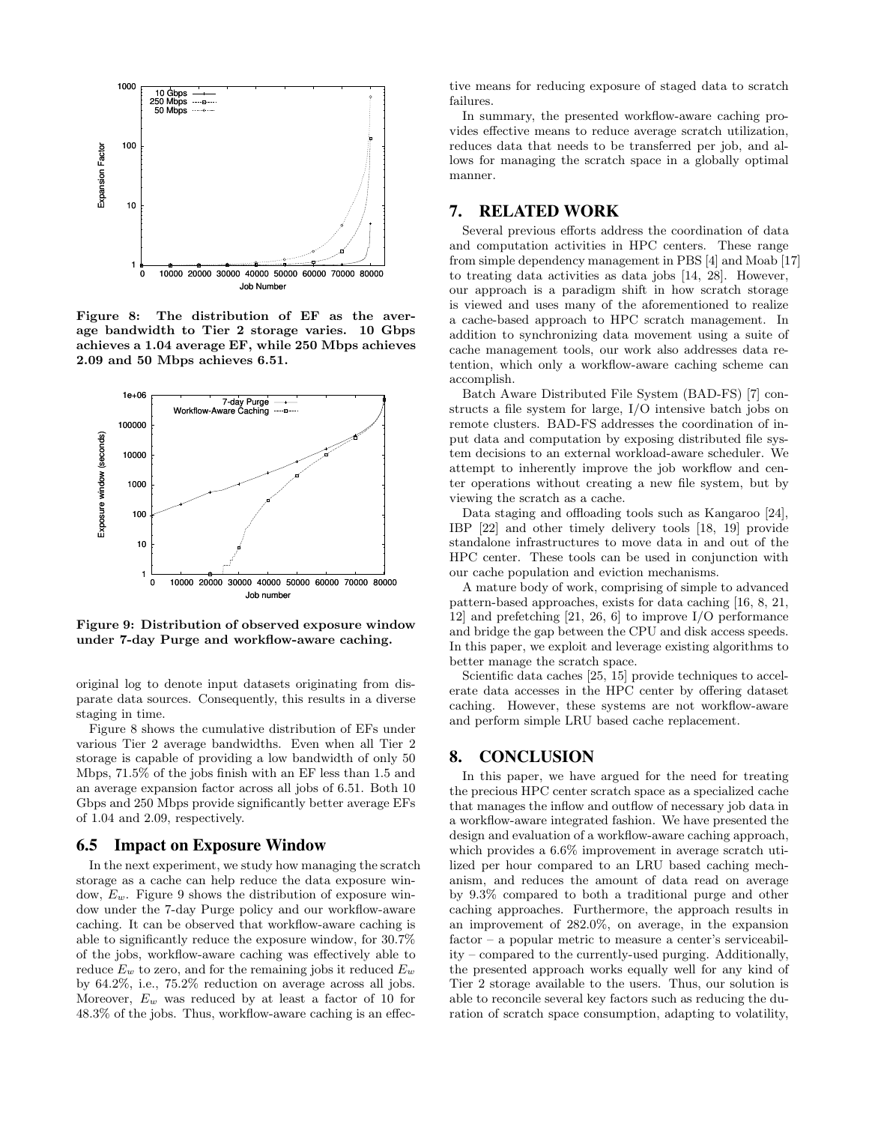

Figure 8: The distribution of EF as the average bandwidth to Tier 2 storage varies. 10 Gbps achieves a 1.04 average EF, while 250 Mbps achieves 2.09 and 50 Mbps achieves 6.51.



Figure 9: Distribution of observed exposure window under 7-day Purge and workflow-aware caching.

original log to denote input datasets originating from disparate data sources. Consequently, this results in a diverse staging in time.

Figure 8 shows the cumulative distribution of EFs under various Tier 2 average bandwidths. Even when all Tier 2 storage is capable of providing a low bandwidth of only 50 Mbps, 71.5% of the jobs finish with an EF less than 1.5 and an average expansion factor across all jobs of 6.51. Both 10 Gbps and 250 Mbps provide significantly better average EFs of 1.04 and 2.09, respectively.

#### **6.5 Impact on Exposure Window**

In the next experiment, we study how managing the scratch storage as a cache can help reduce the data exposure window,  $E_w$ . Figure 9 shows the distribution of exposure window under the 7-day Purge policy and our workflow-aware caching. It can be observed that workflow-aware caching is able to significantly reduce the exposure window, for 30.7% of the jobs, workflow-aware caching was effectively able to reduce  $E_w$  to zero, and for the remaining jobs it reduced  $E_w$ by 64.2%, i.e., 75.2% reduction on average across all jobs. Moreover,  $E_w$  was reduced by at least a factor of 10 for 48.3% of the jobs. Thus, workflow-aware caching is an effective means for reducing exposure of staged data to scratch failures.

In summary, the presented workflow-aware caching provides effective means to reduce average scratch utilization, reduces data that needs to be transferred per job, and allows for managing the scratch space in a globally optimal manner.

# **7. RELATED WORK**

Several previous efforts address the coordination of data and computation activities in HPC centers. These range from simple dependency management in PBS [4] and Moab [17] to treating data activities as data jobs [14, 28]. However, our approach is a paradigm shift in how scratch storage is viewed and uses many of the aforementioned to realize a cache-based approach to HPC scratch management. In addition to synchronizing data movement using a suite of cache management tools, our work also addresses data retention, which only a workflow-aware caching scheme can accomplish.

Batch Aware Distributed File System (BAD-FS) [7] constructs a file system for large, I/O intensive batch jobs on remote clusters. BAD-FS addresses the coordination of input data and computation by exposing distributed file system decisions to an external workload-aware scheduler. We attempt to inherently improve the job workflow and center operations without creating a new file system, but by viewing the scratch as a cache.

Data staging and offloading tools such as Kangaroo [24], IBP [22] and other timely delivery tools [18, 19] provide standalone infrastructures to move data in and out of the HPC center. These tools can be used in conjunction with our cache population and eviction mechanisms.

A mature body of work, comprising of simple to advanced pattern-based approaches, exists for data caching [16, 8, 21, 12] and prefetching [21, 26, 6] to improve I/O performance and bridge the gap between the CPU and disk access speeds. In this paper, we exploit and leverage existing algorithms to better manage the scratch space.

Scientific data caches [25, 15] provide techniques to accelerate data accesses in the HPC center by offering dataset caching. However, these systems are not workflow-aware and perform simple LRU based cache replacement.

# **8. CONCLUSION**

In this paper, we have argued for the need for treating the precious HPC center scratch space as a specialized cache that manages the inflow and outflow of necessary job data in a workflow-aware integrated fashion. We have presented the design and evaluation of a workflow-aware caching approach, which provides a 6.6% improvement in average scratch utilized per hour compared to an LRU based caching mechanism, and reduces the amount of data read on average by 9.3% compared to both a traditional purge and other caching approaches. Furthermore, the approach results in an improvement of 282.0%, on average, in the expansion factor – a popular metric to measure a center's serviceability – compared to the currently-used purging. Additionally, the presented approach works equally well for any kind of Tier 2 storage available to the users. Thus, our solution is able to reconcile several key factors such as reducing the duration of scratch space consumption, adapting to volatility,